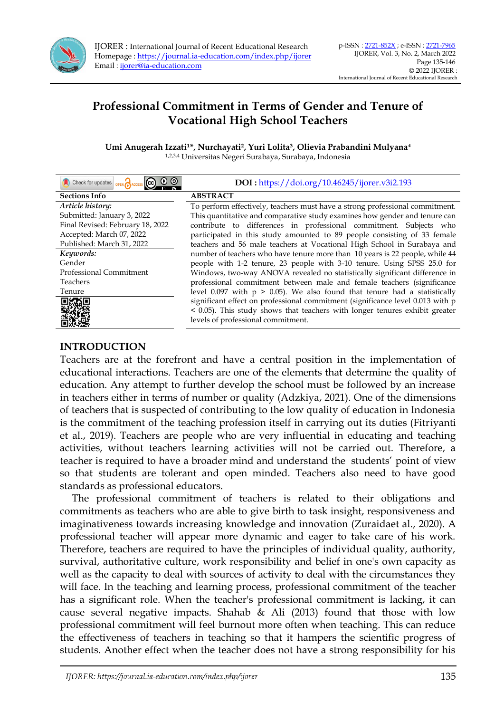

IJORER : International Journal of Recent Educational Research Homepage [: https://journal.ia-education.com/index.php/ijorer](https://journal.ia-education.com/index.php/ijorer) Email [: ijorer@ia-education.com](file:///C:/Users/Tatangm/Downloads/ijorer@ia-education.com)

## **Professional Commitment in Terms of Gender and Tenure of Vocational High School Teachers**

Umi Anugerah Izzati<sup>1\*</sup>, Nurchayati<sup>2</sup>, Yuri Lolita<sup>3</sup>, Olievia Prabandini Mulyana<sup>4</sup> 1,2,3,4 Universitas Negeri Surabaya, Surabaya, Indonesia

| 00<br>Check for updates OPEN CACCESS | DOI: https://doi.org/10.46245/ijorer.v3i2.193                                  |
|--------------------------------------|--------------------------------------------------------------------------------|
| <b>Sections Info</b>                 | <b>ABSTRACT</b>                                                                |
| Article history:                     | To perform effectively, teachers must have a strong professional commitment.   |
| Submitted: January 3, 2022           | This quantitative and comparative study examines how gender and tenure can     |
| Final Revised: February 18, 2022     | contribute to differences in professional commitment. Subjects who             |
| Accepted: March 07, 2022             | participated in this study amounted to 89 people consisting of 33 female       |
| Published: March 31, 2022            | teachers and 56 male teachers at Vocational High School in Surabaya and        |
| Keywords:                            | number of teachers who have tenure more than 10 years is 22 people, while 44   |
| Gender                               | people with 1-2 tenure, 23 people with 3-10 tenure. Using SPSS 25.0 for        |
| Professional Commitment              | Windows, two-way ANOVA revealed no statistically significant difference in     |
| <b>Teachers</b>                      | professional commitment between male and female teachers (significance         |
| Tenure                               | level 0.097 with $p > 0.05$ ). We also found that tenure had a statistically   |
|                                      | significant effect on professional commitment (significance level 0.013 with p |
|                                      | < 0.05). This study shows that teachers with longer tenures exhibit greater    |
|                                      | levels of professional commitment.                                             |
|                                      |                                                                                |

#### **INTRODUCTION**

Teachers are at the forefront and have a central position in the implementation of educational interactions. Teachers are one of the elements that determine the quality of education. Any attempt to further develop the school must be followed by an increase in teachers either in terms of number or quality (Adzkiya, 2021). One of the dimensions of teachers that is suspected of contributing to the low quality of education in Indonesia is the commitment of the teaching profession itself in carrying out its duties (Fitriyanti et al., 2019). Teachers are people who are very influential in educating and teaching activities, without teachers learning activities will not be carried out. Therefore, a teacher is required to have a broader mind and understand the students' point of view so that students are tolerant and open minded. Teachers also need to have good standards as professional educators.

The professional commitment of teachers is related to their obligations and commitments as teachers who are able to give birth to task insight, responsiveness and imaginativeness towards increasing knowledge and innovation (Zuraidaet al., 2020). A professional teacher will appear more dynamic and eager to take care of his work. Therefore, teachers are required to have the principles of individual quality, authority, survival, authoritative culture, work responsibility and belief in one's own capacity as well as the capacity to deal with sources of activity to deal with the circumstances they will face. In the teaching and learning process, professional commitment of the teacher has a significant role. When the teacher's professional commitment is lacking, it can cause several negative impacts. Shahab  $\&$  Ali (2013) found that those with low professional commitment will feel burnout more often when teaching. This can reduce the effectiveness of teachers in teaching so that it hampers the scientific progress of students. Another effect when the teacher does not have a strong responsibility for his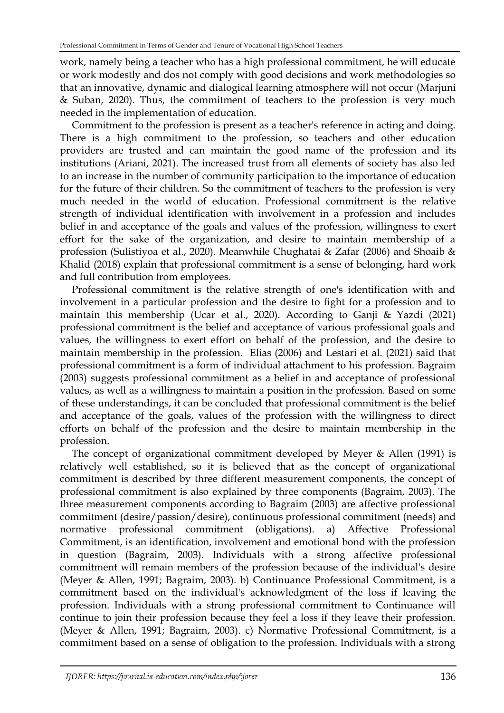work, namely being a teacher who has a high professional commitment, he will educate or work modestly and dos not comply with good decisions and work methodologies so that an innovative, dynamic and dialogical learning atmosphere will not occur (Marjuni & Suban, 2020). Thus, the commitment of teachers to the profession is very much needed in the implementation of education.

Commitment to the profession is present as a teacher's reference in acting and doing. There is a high commitment to the profession, so teachers and other education providers are trusted and can maintain the good name of the profession and its institutions (Ariani, 2021). The increased trust from all elements of society has also led to an increase in the number of community participation to the importance of education for the future of their children. So the commitment of teachers to the profession is very much needed in the world of education. Professional commitment is the relative strength of individual identification with involvement in a profession and includes belief in and acceptance of the goals and values of the profession, willingness to exert effort for the sake of the organization, and desire to maintain membership of a profession (Sulistiyoa et al., 2020). Meanwhile Chughatai & Zafar (2006) and Shoaib & Khalid (2018) explain that professional commitment is a sense of belonging, hard work and full contribution from employees.

Professional commitment is the relative strength of one's identification with and involvement in a particular profession and the desire to fight for a profession and to maintain this membership (Ucar et al., 2020). According to Ganji & Yazdi (2021) professional commitment is the belief and acceptance of various professional goals and values, the willingness to exert effort on behalf of the profession, and the desire to maintain membership in the profession. Elias (2006) and Lestari et al. (2021) said that professional commitment is a form of individual attachment to his profession. Bagraim (2003) suggests professional commitment as a belief in and acceptance of professional values, as well as a willingness to maintain a position in the profession. Based on some of these understandings, it can be concluded that professional commitment is the belief and acceptance of the goals, values of the profession with the willingness to direct efforts on behalf of the profession and the desire to maintain membership in the profession.

The concept of organizational commitment developed by Meyer & Allen (1991) is relatively well established, so it is believed that as the concept of organizational commitment is described by three different measurement components, the concept of professional commitment is also explained by three components (Bagraim, 2003). The three measurement components according to Bagraim (2003) are affective professional commitment (desire/passion/desire), continuous professional commitment (needs) and normative professional commitment (obligations). a) Affective Professional Commitment, is an identification, involvement and emotional bond with the profession in question (Bagraim, 2003). Individuals with a strong affective professional commitment will remain members of the profession because of the individual's desire (Meyer & Allen, 1991; Bagraim, 2003). b) Continuance Professional Commitment, is a commitment based on the individual's acknowledgment of the loss if leaving the profession. Individuals with a strong professional commitment to Continuance will continue to join their profession because they feel a loss if they leave their profession. (Meyer & Allen, 1991; Bagraim, 2003). c) Normative Professional Commitment, is a commitment based on a sense of obligation to the profession. Individuals with a strong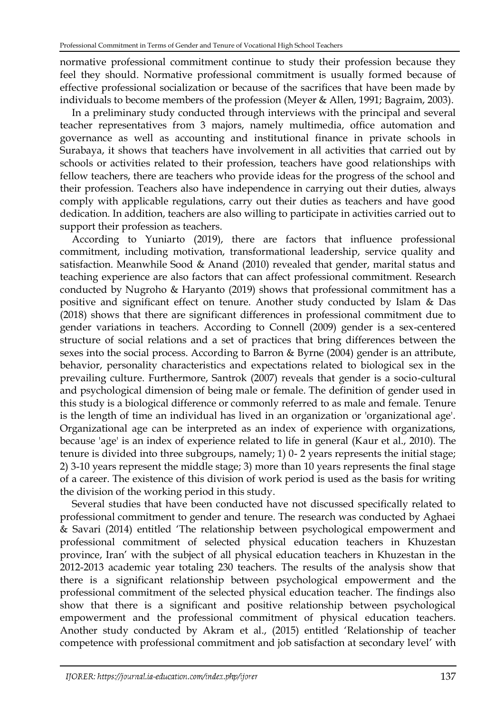normative professional commitment continue to study their profession because they feel they should. Normative professional commitment is usually formed because of effective professional socialization or because of the sacrifices that have been made by individuals to become members of the profession (Meyer & Allen, 1991; Bagraim, 2003).

In a preliminary study conducted through interviews with the principal and several teacher representatives from 3 majors, namely multimedia, office automation and governance as well as accounting and institutional finance in private schools in Surabaya, it shows that teachers have involvement in all activities that carried out by schools or activities related to their profession, teachers have good relationships with fellow teachers, there are teachers who provide ideas for the progress of the school and their profession. Teachers also have independence in carrying out their duties, always comply with applicable regulations, carry out their duties as teachers and have good dedication. In addition, teachers are also willing to participate in activities carried out to support their profession as teachers.

According to Yuniarto (2019), there are factors that influence professional commitment, including motivation, transformational leadership, service quality and satisfaction. Meanwhile Sood & Anand (2010) revealed that gender, marital status and teaching experience are also factors that can affect professional commitment. Research conducted by Nugroho & Haryanto (2019) shows that professional commitment has a positive and significant effect on tenure. Another study conducted by Islam & Das (2018) shows that there are significant differences in professional commitment due to gender variations in teachers. According to Connell (2009) gender is a sex-centered structure of social relations and a set of practices that bring differences between the sexes into the social process. According to Barron & Byrne (2004) gender is an attribute, behavior, personality characteristics and expectations related to biological sex in the prevailing culture. Furthermore, Santrok (2007) reveals that gender is a socio-cultural and psychological dimension of being male or female. The definition of gender used in this study is a biological difference or commonly referred to as male and female. Tenure is the length of time an individual has lived in an organization or 'organizational age'. Organizational age can be interpreted as an index of experience with organizations, because 'age' is an index of experience related to life in general (Kaur et al., 2010). The tenure is divided into three subgroups, namely; 1) 0- 2 years represents the initial stage; 2) 3-10 years represent the middle stage; 3) more than 10 years represents the final stage of a career. The existence of this division of work period is used as the basis for writing the division of the working period in this study.

Several studies that have been conducted have not discussed specifically related to professional commitment to gender and tenure. The research was conducted by Aghaei & Savari (2014) entitled 'The relationship between psychological empowerment and professional commitment of selected physical education teachers in Khuzestan province, Iran' with the subject of all physical education teachers in Khuzestan in the 2012-2013 academic year totaling 230 teachers. The results of the analysis show that there is a significant relationship between psychological empowerment and the professional commitment of the selected physical education teacher. The findings also show that there is a significant and positive relationship between psychological empowerment and the professional commitment of physical education teachers. Another study conducted by Akram et al., (2015) entitled 'Relationship of teacher competence with professional commitment and job satisfaction at secondary level' with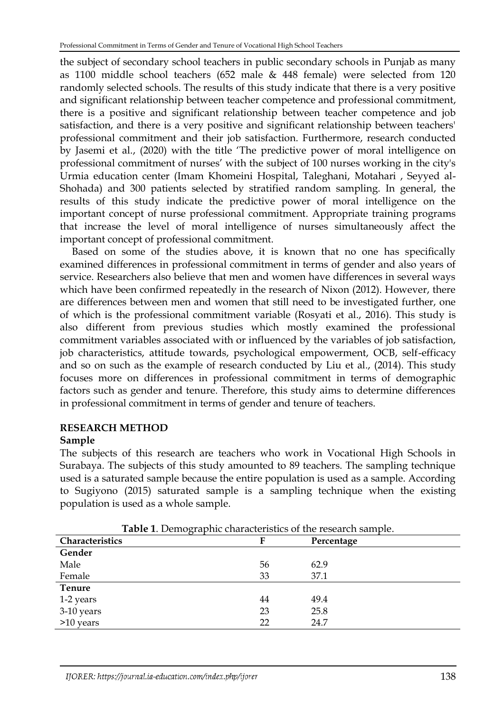the subject of secondary school teachers in public secondary schools in Punjab as many as 1100 middle school teachers (652 male & 448 female) were selected from 120 randomly selected schools. The results of this study indicate that there is a very positive and significant relationship between teacher competence and professional commitment, there is a positive and significant relationship between teacher competence and job satisfaction, and there is a very positive and significant relationship between teachers' professional commitment and their job satisfaction. Furthermore, research conducted by Jasemi et al., (2020) with the title 'The predictive power of moral intelligence on professional commitment of nurses' with the subject of 100 nurses working in the city's Urmia education center (Imam Khomeini Hospital, Taleghani, Motahari , Seyyed al-Shohada) and 300 patients selected by stratified random sampling. In general, the results of this study indicate the predictive power of moral intelligence on the important concept of nurse professional commitment. Appropriate training programs that increase the level of moral intelligence of nurses simultaneously affect the important concept of professional commitment.

Based on some of the studies above, it is known that no one has specifically examined differences in professional commitment in terms of gender and also years of service. Researchers also believe that men and women have differences in several ways which have been confirmed repeatedly in the research of Nixon (2012). However, there are differences between men and women that still need to be investigated further, one of which is the professional commitment variable (Rosyati et al., 2016). This study is also different from previous studies which mostly examined the professional commitment variables associated with or influenced by the variables of job satisfaction, job characteristics, attitude towards, psychological empowerment, OCB, self-efficacy and so on such as the example of research conducted by Liu et al., (2014). This study focuses more on differences in professional commitment in terms of demographic factors such as gender and tenure. Therefore, this study aims to determine differences in professional commitment in terms of gender and tenure of teachers.

# **RESEARCH METHOD**

#### **Sample**

The subjects of this research are teachers who work in Vocational High Schools in Surabaya. The subjects of this study amounted to 89 teachers. The sampling technique used is a saturated sample because the entire population is used as a sample. According to Sugiyono (2015) saturated sample is a sampling technique when the existing population is used as a whole sample.

| Characteristics | F  | Percentage |
|-----------------|----|------------|
| Gender          |    |            |
| Male            | 56 | 62.9       |
| Female          | 33 | 37.1       |
| <b>Tenure</b>   |    |            |
| 1-2 years       | 44 | 49.4       |
| 3-10 years      | 23 | 25.8       |
| $>10$ years     | 22 | 24.7       |

**Table 1**. Demographic characteristics of the research sample.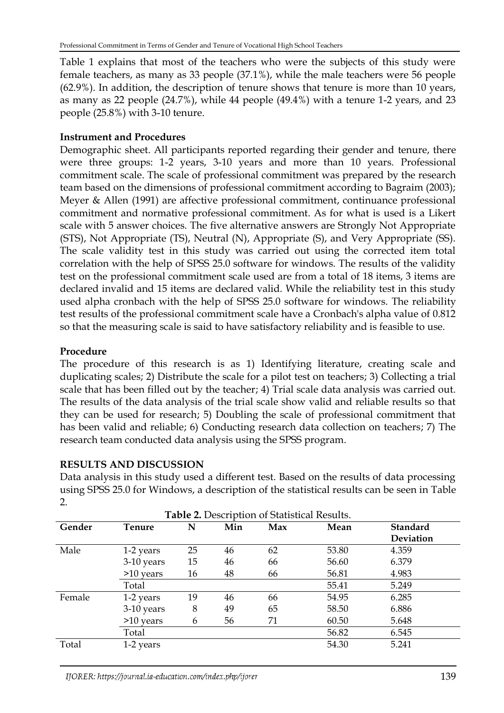Table 1 explains that most of the teachers who were the subjects of this study were female teachers, as many as 33 people (37.1%), while the male teachers were 56 people (62.9%). In addition, the description of tenure shows that tenure is more than 10 years, as many as 22 people (24.7%), while 44 people (49.4%) with a tenure 1-2 years, and 23 people (25.8%) with 3-10 tenure.

### **Instrument and Procedures**

Demographic sheet. All participants reported regarding their gender and tenure, there were three groups: 1-2 years, 3-10 years and more than 10 years. Professional commitment scale. The scale of professional commitment was prepared by the research team based on the dimensions of professional commitment according to Bagraim (2003); Meyer & Allen (1991) are affective professional commitment, continuance professional commitment and normative professional commitment. As for what is used is a Likert scale with 5 answer choices. The five alternative answers are Strongly Not Appropriate (STS), Not Appropriate (TS), Neutral (N), Appropriate (S), and Very Appropriate (SS). The scale validity test in this study was carried out using the corrected item total correlation with the help of SPSS 25.0 software for windows. The results of the validity test on the professional commitment scale used are from a total of 18 items, 3 items are declared invalid and 15 items are declared valid. While the reliability test in this study used alpha cronbach with the help of SPSS 25.0 software for windows. The reliability test results of the professional commitment scale have a Cronbach's alpha value of 0.812 so that the measuring scale is said to have satisfactory reliability and is feasible to use.

## **Procedure**

The procedure of this research is as 1) Identifying literature, creating scale and duplicating scales; 2) Distribute the scale for a pilot test on teachers; 3) Collecting a trial scale that has been filled out by the teacher; 4) Trial scale data analysis was carried out. The results of the data analysis of the trial scale show valid and reliable results so that they can be used for research; 5) Doubling the scale of professional commitment that has been valid and reliable; 6) Conducting research data collection on teachers; 7) The research team conducted data analysis using the SPSS program.

## **RESULTS AND DISCUSSION**

Data analysis in this study used a different test. Based on the results of data processing using SPSS 25.0 for Windows, a description of the statistical results can be seen in Table 2.

| <b>Table 2.</b> Description of Statistical Results. |               |    |     |     |       |                 |
|-----------------------------------------------------|---------------|----|-----|-----|-------|-----------------|
| Gender                                              | <b>Tenure</b> | N  | Min | Max | Mean  | <b>Standard</b> |
|                                                     |               |    |     |     |       | Deviation       |
| Male                                                | 1-2 years     | 25 | 46  | 62  | 53.80 | 4.359           |
|                                                     | 3-10 years    | 15 | 46  | 66  | 56.60 | 6.379           |
|                                                     | $>10$ years   | 16 | 48  | 66  | 56.81 | 4.983           |
|                                                     | Total         |    |     |     | 55.41 | 5.249           |
| Female                                              | 1-2 years     | 19 | 46  | 66  | 54.95 | 6.285           |
|                                                     | 3-10 years    | 8  | 49  | 65  | 58.50 | 6.886           |
|                                                     | $>10$ years   | 6  | 56  | 71  | 60.50 | 5.648           |
|                                                     | Total         |    |     |     | 56.82 | 6.545           |
| Total                                               | 1-2 years     |    |     |     | 54.30 | 5.241           |

IJORER: https://journal.ia-education.com/index.php/ijorer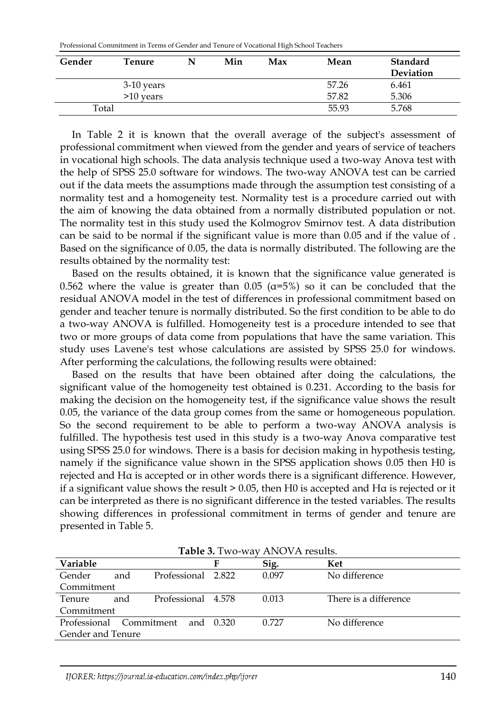| Professional Commitment in Terms of Gender and Tenure of Vocational High School Teachers |  |
|------------------------------------------------------------------------------------------|--|
|------------------------------------------------------------------------------------------|--|

| Gender | Tenure       | Min | Max | Mean  | <b>Standard</b><br>Deviation |
|--------|--------------|-----|-----|-------|------------------------------|
|        | $3-10$ years |     |     | 57.26 | 6.461                        |
|        | $>10$ years  |     |     | 57.82 | 5.306                        |
| Total  |              |     |     | 55.93 | 5.768                        |

In Table 2 it is known that the overall average of the subject's assessment of professional commitment when viewed from the gender and years of service of teachers in vocational high schools. The data analysis technique used a two-way Anova test with the help of SPSS 25.0 software for windows. The two-way ANOVA test can be carried out if the data meets the assumptions made through the assumption test consisting of a normality test and a homogeneity test. Normality test is a procedure carried out with the aim of knowing the data obtained from a normally distributed population or not. The normality test in this study used the Kolmogrov Smirnov test. A data distribution can be said to be normal if the significant value is more than 0.05 and if the value of . Based on the significance of 0.05, the data is normally distributed. The following are the results obtained by the normality test:

Based on the results obtained, it is known that the significance value generated is 0.562 where the value is greater than 0.05 ( $\alpha$ =5%) so it can be concluded that the residual ANOVA model in the test of differences in professional commitment based on gender and teacher tenure is normally distributed. So the first condition to be able to do a two-way ANOVA is fulfilled. Homogeneity test is a procedure intended to see that two or more groups of data come from populations that have the same variation. This study uses Lavene's test whose calculations are assisted by SPSS 25.0 for windows. After performing the calculations, the following results were obtained:

Based on the results that have been obtained after doing the calculations, the significant value of the homogeneity test obtained is 0.231. According to the basis for making the decision on the homogeneity test, if the significance value shows the result 0.05, the variance of the data group comes from the same or homogeneous population. So the second requirement to be able to perform a two-way ANOVA analysis is fulfilled. The hypothesis test used in this study is a two-way Anova comparative test using SPSS 25.0 for windows. There is a basis for decision making in hypothesis testing, namely if the significance value shown in the SPSS application shows 0.05 then H0 is rejected and Hα is accepted or in other words there is a significant difference. However, if a significant value shows the result > 0.05, then H0 is accepted and Hα is rejected or it can be interpreted as there is no significant difference in the tested variables. The results showing differences in professional commitment in terms of gender and tenure are presented in Table 5.

| <b>Table 5.</b> Two-way Alno VA results. |     |                    |           |       |                       |  |
|------------------------------------------|-----|--------------------|-----------|-------|-----------------------|--|
| Variable                                 |     |                    |           | Sig.  | Ket                   |  |
| Gender                                   | and | Professional 2.822 |           | 0.097 | No difference         |  |
| Commitment                               |     |                    |           |       |                       |  |
| Tenure                                   | and | Professional 4.578 |           | 0.013 | There is a difference |  |
| Commitment                               |     |                    |           |       |                       |  |
| Professional                             |     | – Commitment       | and 0.320 | 0.727 | No difference         |  |
| Gender and Tenure                        |     |                    |           |       |                       |  |

**Table 3.** Two-way ANOVA results.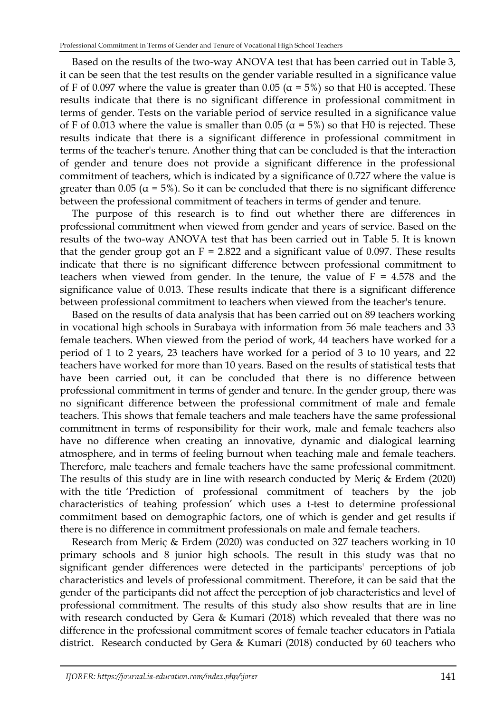Based on the results of the two-way ANOVA test that has been carried out in Table 3, it can be seen that the test results on the gender variable resulted in a significance value of F of 0.097 where the value is greater than 0.05 ( $\alpha$  = 5%) so that H0 is accepted. These results indicate that there is no significant difference in professional commitment in terms of gender. Tests on the variable period of service resulted in a significance value of F of 0.013 where the value is smaller than 0.05 ( $\alpha$  = 5%) so that H0 is rejected. These results indicate that there is a significant difference in professional commitment in terms of the teacher's tenure. Another thing that can be concluded is that the interaction of gender and tenure does not provide a significant difference in the professional commitment of teachers, which is indicated by a significance of 0.727 where the value is greater than 0.05 ( $\alpha$  = 5%). So it can be concluded that there is no significant difference between the professional commitment of teachers in terms of gender and tenure.

The purpose of this research is to find out whether there are differences in professional commitment when viewed from gender and years of service. Based on the results of the two-way ANOVA test that has been carried out in Table 5. It is known that the gender group got an  $F = 2.822$  and a significant value of 0.097. These results indicate that there is no significant difference between professional commitment to teachers when viewed from gender. In the tenure, the value of  $F = 4.578$  and the significance value of 0.013. These results indicate that there is a significant difference between professional commitment to teachers when viewed from the teacher's tenure.

Based on the results of data analysis that has been carried out on 89 teachers working in vocational high schools in Surabaya with information from 56 male teachers and 33 female teachers. When viewed from the period of work, 44 teachers have worked for a period of 1 to 2 years, 23 teachers have worked for a period of 3 to 10 years, and 22 teachers have worked for more than 10 years. Based on the results of statistical tests that have been carried out, it can be concluded that there is no difference between professional commitment in terms of gender and tenure. In the gender group, there was no significant difference between the professional commitment of male and female teachers. This shows that female teachers and male teachers have the same professional commitment in terms of responsibility for their work, male and female teachers also have no difference when creating an innovative, dynamic and dialogical learning atmosphere, and in terms of feeling burnout when teaching male and female teachers. Therefore, male teachers and female teachers have the same professional commitment. The results of this study are in line with research conducted by Meriç & Erdem (2020) with the title 'Prediction of professional commitment of teachers by the job characteristics of teahing profession' which uses a t-test to determine professional commitment based on demographic factors, one of which is gender and get results if there is no difference in commitment professionals on male and female teachers.

Research from Meriç & Erdem (2020) was conducted on 327 teachers working in 10 primary schools and 8 junior high schools. The result in this study was that no significant gender differences were detected in the participants' perceptions of job characteristics and levels of professional commitment. Therefore, it can be said that the gender of the participants did not affect the perception of job characteristics and level of professional commitment. The results of this study also show results that are in line with research conducted by Gera & Kumari (2018) which revealed that there was no difference in the professional commitment scores of female teacher educators in Patiala district. Research conducted by Gera & Kumari (2018) conducted by 60 teachers who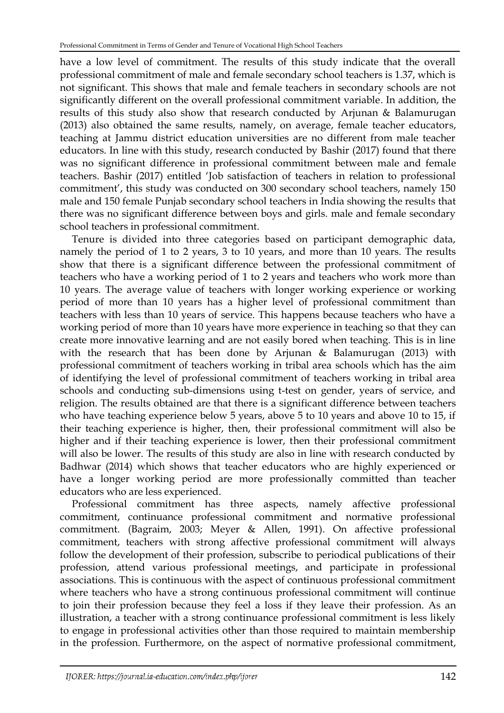have a low level of commitment. The results of this study indicate that the overall professional commitment of male and female secondary school teachers is 1.37, which is not significant. This shows that male and female teachers in secondary schools are not significantly different on the overall professional commitment variable. In addition, the results of this study also show that research conducted by Arjunan & Balamurugan (2013) also obtained the same results, namely, on average, female teacher educators, teaching at Jammu district education universities are no different from male teacher educators. In line with this study, research conducted by Bashir (2017) found that there was no significant difference in professional commitment between male and female teachers. Bashir (2017) entitled 'Job satisfaction of teachers in relation to professional commitment', this study was conducted on 300 secondary school teachers, namely 150 male and 150 female Punjab secondary school teachers in India showing the results that there was no significant difference between boys and girls. male and female secondary school teachers in professional commitment.

Tenure is divided into three categories based on participant demographic data, namely the period of 1 to 2 years, 3 to 10 years, and more than 10 years. The results show that there is a significant difference between the professional commitment of teachers who have a working period of 1 to 2 years and teachers who work more than 10 years. The average value of teachers with longer working experience or working period of more than 10 years has a higher level of professional commitment than teachers with less than 10 years of service. This happens because teachers who have a working period of more than 10 years have more experience in teaching so that they can create more innovative learning and are not easily bored when teaching. This is in line with the research that has been done by Arjunan & Balamurugan (2013) with professional commitment of teachers working in tribal area schools which has the aim of identifying the level of professional commitment of teachers working in tribal area schools and conducting sub-dimensions using t-test on gender, years of service, and religion. The results obtained are that there is a significant difference between teachers who have teaching experience below 5 years, above 5 to 10 years and above 10 to 15, if their teaching experience is higher, then, their professional commitment will also be higher and if their teaching experience is lower, then their professional commitment will also be lower. The results of this study are also in line with research conducted by Badhwar (2014) which shows that teacher educators who are highly experienced or have a longer working period are more professionally committed than teacher educators who are less experienced.

Professional commitment has three aspects, namely affective professional commitment, continuance professional commitment and normative professional commitment. (Bagraim, 2003; Meyer & Allen, 1991). On affective professional commitment, teachers with strong affective professional commitment will always follow the development of their profession, subscribe to periodical publications of their profession, attend various professional meetings, and participate in professional associations. This is continuous with the aspect of continuous professional commitment where teachers who have a strong continuous professional commitment will continue to join their profession because they feel a loss if they leave their profession. As an illustration, a teacher with a strong continuance professional commitment is less likely to engage in professional activities other than those required to maintain membership in the profession. Furthermore, on the aspect of normative professional commitment,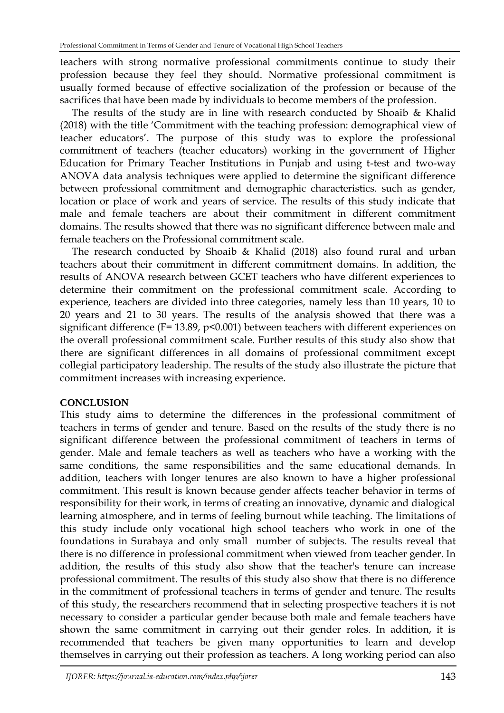teachers with strong normative professional commitments continue to study their profession because they feel they should. Normative professional commitment is usually formed because of effective socialization of the profession or because of the sacrifices that have been made by individuals to become members of the profession.

The results of the study are in line with research conducted by Shoaib & Khalid (2018) with the title 'Commitment with the teaching profession: demographical view of teacher educators'. The purpose of this study was to explore the professional commitment of teachers (teacher educators) working in the government of Higher Education for Primary Teacher Institutions in Punjab and using t-test and two-way ANOVA data analysis techniques were applied to determine the significant difference between professional commitment and demographic characteristics. such as gender, location or place of work and years of service. The results of this study indicate that male and female teachers are about their commitment in different commitment domains. The results showed that there was no significant difference between male and female teachers on the Professional commitment scale.

The research conducted by Shoaib & Khalid (2018) also found rural and urban teachers about their commitment in different commitment domains. In addition, the results of ANOVA research between GCET teachers who have different experiences to determine their commitment on the professional commitment scale. According to experience, teachers are divided into three categories, namely less than 10 years, 10 to 20 years and 21 to 30 years. The results of the analysis showed that there was a significant difference (F= 13.89, p<0.001) between teachers with different experiences on the overall professional commitment scale. Further results of this study also show that there are significant differences in all domains of professional commitment except collegial participatory leadership. The results of the study also illustrate the picture that commitment increases with increasing experience.

## **CONCLUSION**

This study aims to determine the differences in the professional commitment of teachers in terms of gender and tenure. Based on the results of the study there is no significant difference between the professional commitment of teachers in terms of gender. Male and female teachers as well as teachers who have a working with the same conditions, the same responsibilities and the same educational demands. In addition, teachers with longer tenures are also known to have a higher professional commitment. This result is known because gender affects teacher behavior in terms of responsibility for their work, in terms of creating an innovative, dynamic and dialogical learning atmosphere, and in terms of feeling burnout while teaching. The limitations of this study include only vocational high school teachers who work in one of the foundations in Surabaya and only small number of subjects. The results reveal that there is no difference in professional commitment when viewed from teacher gender. In addition, the results of this study also show that the teacher's tenure can increase professional commitment. The results of this study also show that there is no difference in the commitment of professional teachers in terms of gender and tenure. The results of this study, the researchers recommend that in selecting prospective teachers it is not necessary to consider a particular gender because both male and female teachers have shown the same commitment in carrying out their gender roles. In addition, it is recommended that teachers be given many opportunities to learn and develop themselves in carrying out their profession as teachers. A long working period can also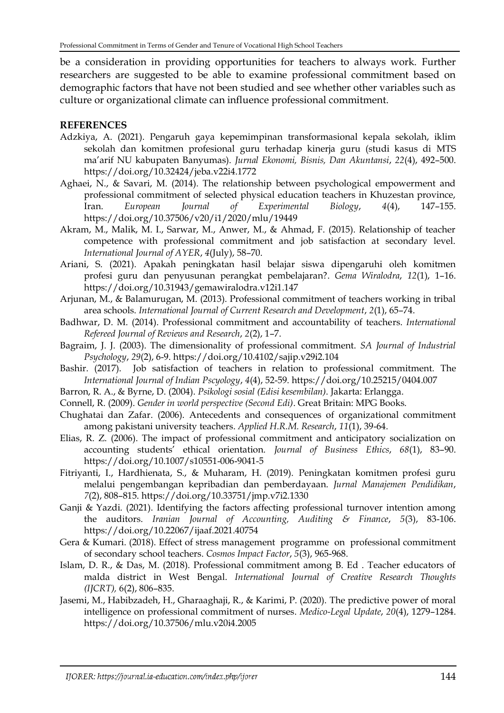be a consideration in providing opportunities for teachers to always work. Further researchers are suggested to be able to examine professional commitment based on demographic factors that have not been studied and see whether other variables such as culture or organizational climate can influence professional commitment.

#### **REFERENCES**

- Adzkiya, A. (2021). Pengaruh gaya kepemimpinan transformasional kepala sekolah, iklim sekolah dan komitmen profesional guru terhadap kinerja guru (studi kasus di MTS ma'arif NU kabupaten Banyumas). *Jurnal Ekonomi, Bisnis, Dan Akuntansi*, *22*(4), 492–500. <https://doi.org/10.32424/jeba.v22i4.1772>
- Aghaei, N., & Savari, M. (2014). The relationship between psychological empowerment and professional commitment of selected physical education teachers in Khuzestan province, Iran. *European Journal of Experimental Biology*, *4*(4), 147–155. <https://doi.org/10.37506/v20/i1/2020/mlu/19449>
- Akram, M., Malik, M. I., Sarwar, M., Anwer, M., & Ahmad, F. (2015). Relationship of teacher competence with professional commitment and job satisfaction at secondary level. *International Journal of AYER*, *4*(July), 58–70.
- Ariani, S. (2021). Apakah peningkatan hasil belajar siswa dipengaruhi oleh komitmen profesi guru dan penyusunan perangkat pembelajaran?. *Gema Wiralodra*, *12*(1), 1–16. <https://doi.org/10.31943/gemawiralodra.v12i1.147>
- Arjunan, M., & Balamurugan, M. (2013). Professional commitment of teachers working in tribal area schools. *International Journal of Current Research and Development*, *2*(1), 65–74.
- Badhwar, D. M. (2014). Professional commitment and accountability of teachers. *International Refereed Journal of Reviews and Research*, *2*(2), 1–7.
- Bagraim, J. J. (2003). The dimensionality of professional commitment. *SA Journal of Industrial Psychology*, *29*(2), 6-9[. https://doi.org/10.4102/sajip.v29i2.104](https://doi.org/10.4102/sajip.v29i2.104)
- Bashir. (2017). Job satisfaction of teachers in relation to professional commitment. The *International Journal of Indian Pscyology*, *4*(4), 52-59.<https://doi.org/10.25215/0404.007>
- Barron, R. A., & Byrne, D. (2004). *Psikologi sosial (Edisi kesembilan)*. Jakarta: Erlangga.
- Connell, R. (2009). *Gender in world perspective (Second Edi)*. Great Britain: MPG Books.
- Chughatai dan Zafar. (2006). Antecedents and consequences of organizational commitment among pakistani university teachers. *Applied H.R.M. Research*, *11*(1), 39-64.
- Elias, R. Z. (2006). The impact of professional commitment and anticipatory socialization on accounting students' ethical orientation. *Journal of Business Ethics*, *68*(1), 83–90. <https://doi.org/10.1007/s10551-006-9041-5>
- Fitriyanti, I., Hardhienata, S., & Muharam, H. (2019). Peningkatan komitmen profesi guru melalui pengembangan kepribadian dan pemberdayaan. *Jurnal Manajemen Pendidikan*, *7*(2), 808–815.<https://doi.org/10.33751/jmp.v7i2.1330>
- Ganji & Yazdi. (2021). Identifying the factors affecting professional turnover intention among the auditors. *Iranian Journal of Accounting, Auditing & Finance*, *5*(3), 83-106. <https://doi.org/10.22067/ijaaf.2021.40754>
- Gera & Kumari. (2018). Effect of stress management programme on professional commitment of secondary school teachers. *Cosmos Impact Factor*, *5*(3), 965-968.
- Islam, D. R., & Das, M. (2018). Professional commitment among B. Ed . Teacher educators of malda district in West Bengal. *International Journal of Creative Research Thoughts (IJCRT),* 6(2), 806–835.
- Jasemi, M., Habibzadeh, H., Gharaaghaji, R., & Karimi, P. (2020). The predictive power of moral intelligence on professional commitment of nurses. *Medico-Legal Update*, *20*(4), 1279–1284. <https://doi.org/10.37506/mlu.v20i4.2005>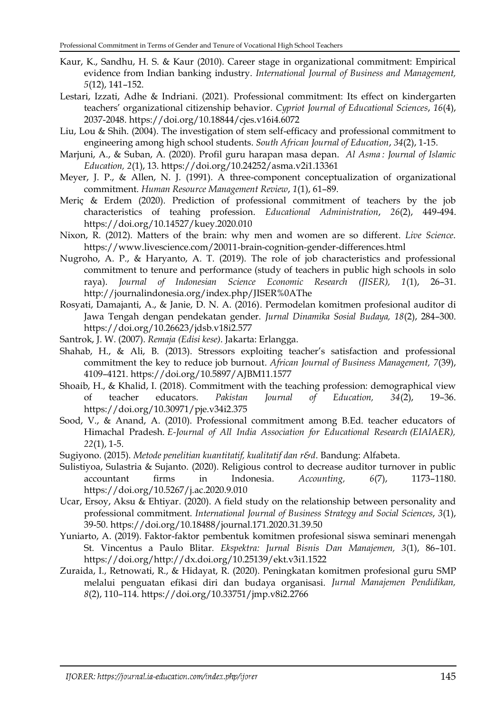- Kaur, K., Sandhu, H. S. & Kaur (2010). Career stage in organizational commitment: Empirical evidence from Indian banking industry. *International Journal of Business and Management, 5*(12), 141–152.
- Lestari, Izzati, Adhe & Indriani. (2021). Professional commitment: Its effect on kindergarten teachers' organizational citizenship behavior. *Cypriot Journal of Educational Sciences*, *16*(4), 2037-2048.<https://doi.org/10.18844/cjes.v16i4.6072>
- Liu, Lou & Shih. (2004). The investigation of stem self-efficacy and professional commitment to engineering among high school students. *South African Journal of Education*, *34*(2), 1-15.
- Marjuni, A., & Suban, A. (2020). Profil guru harapan masa depan. *Al Asma : Journal of Islamic Education, 2*(1), 13.<https://doi.org/10.24252/asma.v2i1.13361>
- Meyer, J. P., & Allen, N. J. (1991). A three-component conceptualization of organizational commitment. *Human Resource Management Review*, *1*(1), 61–89.
- Meriç & Erdem (2020). Prediction of professional commitment of teachers by the job characteristics of teahing profession. *Educational Administration*, *26*(2), 449-494. <https://doi.org/10.14527/kuey.2020.010>
- Nixon, R. (2012). Matters of the brain: why men and women are so different. *Live Science*. <https://www.livescience.com/20011-brain-cognition-gender-differences.html>
- Nugroho, A. P., & Haryanto, A. T. (2019). The role of job characteristics and professional commitment to tenure and performance (study of teachers in public high schools in solo raya). *Journal of Indonesian Science Economic Research (JISER), 1*(1), 26–31. <http://journalindonesia.org/index.php/JISER%0AThe>
- Rosyati, Damajanti, A., & Janie, D. N. A. (2016). Permodelan komitmen profesional auditor di Jawa Tengah dengan pendekatan gender. *Jurnal Dinamika Sosial Budaya, 18*(2), 284–300. <https://doi.org/10.26623/jdsb.v18i2.577>
- Santrok, J. W. (2007). *Remaja (Edisi kese)*. Jakarta: Erlangga.
- Shahab, H., & Ali, B. (2013). Stressors exploiting teacher's satisfaction and professional commitment the key to reduce job burnout. *African Journal of Business Management, 7*(39), 4109–4121.<https://doi.org/10.5897/AJBM11.1577>
- Shoaib, H., & Khalid, I. (2018). Commitment with the teaching profession: demographical view of teacher educators. *Pakistan Journal of Education, 34*(2), 19–36. <https://doi.org/10.30971/pje.v34i2.375>
- Sood, V., & Anand, A. (2010). Professional commitment among B.Ed. teacher educators of Himachal Pradesh. *E-Journal of All India Association for Educational Research (EIAIAER), 22*(1), 1-5.
- Sugiyono. (2015). *Metode penelitian kuantitatif, kualitatif dan r&d*. Bandung: Alfabeta.
- Sulistiyoa, Sulastria & Sujanto. (2020). Religious control to decrease auditor turnover in public accountant firms in Indonesia. *Accounting, 6*(7), 1173–1180. <https://doi.org/10.5267/j.ac.2020.9.010>
- Ucar, Ersoy, Aksu & Ehtiyar. (2020). A field study on the relationship between personality and professional commitment. *International Journal of Business Strategy and Social Sciences*, *3*(1), 39-50.<https://doi.org/10.18488/journal.171.2020.31.39.50>
- Yuniarto, A. (2019). Faktor-faktor pembentuk komitmen profesional siswa seminari menengah St. Vincentus a Paulo Blitar*. Ekspektra: Jurnal Bisnis Dan Manajemen, 3*(1), 86–101. [https://doi.org/http://dx.doi.org/10.25139/ekt.v3i1.1522](https://doi.org/http:/dx.doi.org/10.25139/ekt.v3i1.1522)
- Zuraida, I., Retnowati, R., & Hidayat, R. (2020). Peningkatan komitmen profesional guru SMP melalui penguatan efikasi diri dan budaya organisasi. *Jurnal Manajemen Pendidikan, 8*(2), 110–114. <https://doi.org/10.33751/jmp.v8i2.2766>